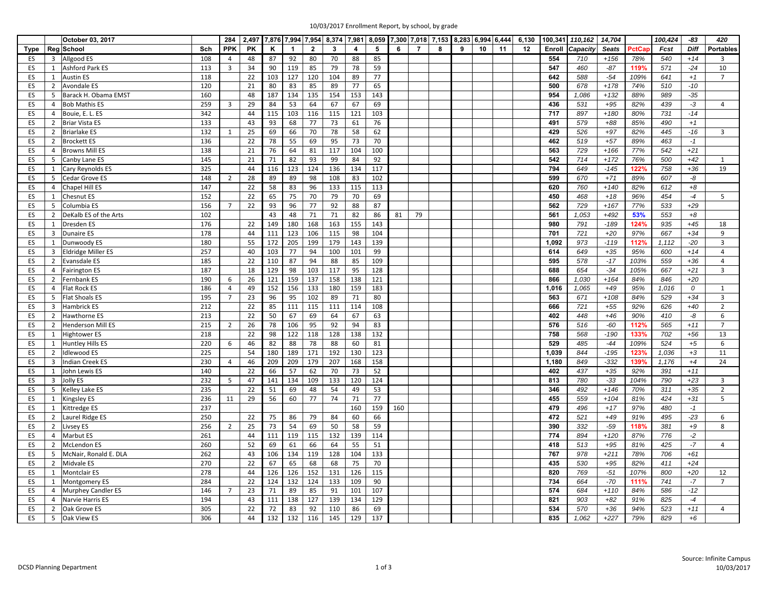| 10/03/2017 Enrollment Report, by school, by grade |  |
|---------------------------------------------------|--|
|                                                   |  |

|             |                | October 03, 2017          |     | 284            |           |     |              |                |              |                | 2,497 7,876 7,994 7,954 8,374 7,981 8,059 7,300 7,018 7,153 8,283 6,994 6,444 |     |                |   |   |                 |    | 6,130 |        | 100,341 110,162 | 14,704       |        | 100,424 | -83         | 420              |
|-------------|----------------|---------------------------|-----|----------------|-----------|-----|--------------|----------------|--------------|----------------|-------------------------------------------------------------------------------|-----|----------------|---|---|-----------------|----|-------|--------|-----------------|--------------|--------|---------|-------------|------------------|
| <b>Type</b> |                | Reg School                | Sch | <b>PPK</b>     | <b>PK</b> | ĸ   | $\mathbf{1}$ | $\overline{2}$ | $\mathbf{3}$ | $\overline{4}$ | 5                                                                             | 6   | $\overline{7}$ | 8 | 9 | 10 <sup>1</sup> | 11 | 12    | Enroll | Capacity        | <b>Seats</b> | PctCap | Fcst    | <b>Diff</b> | <b>Portables</b> |
| ES          | 3              | Allgood ES                | 108 | $\overline{4}$ | 48        | 87  | 92           | 80             | 70           | 88             | 85                                                                            |     |                |   |   |                 |    |       | 554    | 710             | $+156$       | 78%    | 540     | $+14$       | $\overline{3}$   |
| ES          | 1              | Ashford Park ES           | 113 | $\overline{3}$ | 34        | 90  | 119          | 85             | 79           | 78             | 59                                                                            |     |                |   |   |                 |    |       | 547    | 460             | $-87$        | 119%   | 571     | $-24$       | 10               |
| ES          | $\mathbf{1}$   | <b>Austin ES</b>          | 118 |                | 22        | 103 | 127          | 120            | 104          | 89             | 77                                                                            |     |                |   |   |                 |    |       | 642    | 588             | $-54$        | 109%   | 641     | $+1$        | $\overline{7}$   |
| ES          | $\overline{2}$ | Avondale ES               | 120 |                | 21        | 80  | 83           | 85             | 89           | 77             | 65                                                                            |     |                |   |   |                 |    |       | 500    | 678             | $+178$       | 74%    | 510     | $-10$       |                  |
| ES          | 5              | Barack H. Obama EMST      | 160 |                | 48        | 187 | 134          | 135            | 154          | 153            | 143                                                                           |     |                |   |   |                 |    |       | 954    | 1,086           | $+132$       | 88%    | 989     | $-35$       |                  |
| ES          | $\overline{4}$ | <b>Bob Mathis ES</b>      | 259 | $\overline{3}$ | 29        | 84  | 53           | 64             | 67           | 67             | 69                                                                            |     |                |   |   |                 |    |       | 436    | 531             | $+95$        | 82%    | 439     | $-3$        | $\overline{4}$   |
| ES          | $\overline{4}$ | Bouie, E. L. ES           | 342 |                | 44        | 115 | 103          | 116            | 115          | 121            | 103                                                                           |     |                |   |   |                 |    |       | 717    | 897             | $+180$       | 80%    | 731     | $-14$       |                  |
| ES          | $\overline{2}$ | <b>Briar Vista ES</b>     | 133 |                | 43        | 93  | 68           | 77             | 73           | 61             | 76                                                                            |     |                |   |   |                 |    |       | 491    | 579             | $+88$        | 85%    | 490     | $+1$        |                  |
| ES          | $\overline{2}$ | <b>Briarlake ES</b>       | 132 | $\mathbf{1}$   | 25        | 69  | 66           | 70             | 78           | 58             | 62                                                                            |     |                |   |   |                 |    |       | 429    | 526             | $+97$        | 82%    | 445     | $-16$       | $\overline{3}$   |
| ES          | $\overline{2}$ | <b>Brockett ES</b>        | 136 |                | 22        | 78  | 55           | 69             | 95           | 73             | 70                                                                            |     |                |   |   |                 |    |       | 462    | 519             | $+57$        | 89%    | 463     | $-1$        |                  |
| ES          | $\overline{4}$ | <b>Browns Mill ES</b>     | 138 |                | 21        | 76  | 64           | 81             | 117          | 104            | 100                                                                           |     |                |   |   |                 |    |       | 563    | 729             | $+166$       | 77%    | 542     | $+21$       |                  |
| ES          | 5              | Canby Lane ES             | 145 |                | 21        | 71  | 82           | 93             | 99           | 84             | 92                                                                            |     |                |   |   |                 |    |       | 542    | 714             | $+172$       | 76%    | 500     | $+42$       | $\mathbf{1}$     |
| ES          | $\mathbf{1}$   | Cary Reynolds ES          | 325 |                | 44        | 116 | 123          | 124            | 136          | 134            | 117                                                                           |     |                |   |   |                 |    |       | 794    | 649             | $-145$       | 122%   | 758     | $+36$       | 19               |
| ES          | 5              | Cedar Grove ES            | 148 | $\overline{2}$ | 28        | 89  | 89           | 98             | 108          | 83             | 102                                                                           |     |                |   |   |                 |    |       | 599    | 670             | $+71$        | 89%    | 607     | -8          |                  |
| ES          | $\overline{4}$ | Chapel Hill ES            | 147 |                | 22        | 58  | 83           | 96             | 133          | 115            | 113                                                                           |     |                |   |   |                 |    |       | 620    | 760             | $+140$       | 82%    | 612     | $+8$        |                  |
| ES          | 1              | Chesnut ES                | 152 |                | 22        | 65  | 75           | 70             | 79           | 70             | 69                                                                            |     |                |   |   |                 |    |       | 450    | 468             | $+18$        | 96%    | 454     | $-4$        | 5                |
| ES          | 5              | Columbia ES               | 156 | $\overline{7}$ | 22        | 93  | 96           | 77             | 92           | 88             | 87                                                                            |     |                |   |   |                 |    |       | 562    | 729             | $+167$       | 77%    | 533     | $+29$       |                  |
| ES          | $\overline{2}$ | DeKalb ES of the Arts     | 102 |                |           | 43  | 48           | 71             | 71           | 82             | 86                                                                            | 81  | 79             |   |   |                 |    |       | 561    | 1,053           | $+492$       | 53%    | 553     | $+8$        |                  |
| ES          | 1              | Dresden ES                | 176 |                | 22        | 149 | 180          | 168            | 163          | 155            | 143                                                                           |     |                |   |   |                 |    |       | 980    | 791             | $-189$       | 124%   | 935     | $+45$       | 18               |
| ES          | 3              | <b>Dunaire ES</b>         | 178 |                | 44        | 111 | 123          | 106            | 115          | 98             | 104                                                                           |     |                |   |   |                 |    |       | 701    | 721             | $+20$        | 97%    | 667     | $+34$       | 9                |
| ES          | $\mathbf{1}$   | Dunwoody ES               | 180 |                | 55        | 172 | 205          | 199            | 179          | 143            | 139                                                                           |     |                |   |   |                 |    |       | 1,092  | 973             | $-119$       | 112%   | 1,112   | $-20$       | $\overline{3}$   |
| ES          | $\overline{3}$ | <b>Eldridge Miller ES</b> | 257 |                | 40        | 103 | 77           | 94             | 100          | 101            | 99                                                                            |     |                |   |   |                 |    |       | 614    | 649             | $+35$        | 95%    | 600     | $+14$       | $\overline{4}$   |
| ES          | $\overline{2}$ | <b>Evansdale ES</b>       | 185 |                | 22        | 110 | 87           | 94             | 88           | 85             | 109                                                                           |     |                |   |   |                 |    |       | 595    | 578             | $-17$        | 103%   | 559     | $+36$       | $\overline{4}$   |
| ES          | $\overline{4}$ | <b>Fairington ES</b>      | 187 |                | 18        | 129 | 98           | 103            | 117          | 95             | 128                                                                           |     |                |   |   |                 |    |       | 688    | 654             | $-34$        | 105%   | 667     | $+21$       | 3                |
| ES          | $\overline{2}$ | Fernbank ES               | 190 | 6              | 26        | 121 | 159          | 137            | 158          | 138            | 121                                                                           |     |                |   |   |                 |    |       | 866    | 1,030           | $+164$       | 84%    | 846     | $+20$       |                  |
| ES          | $\overline{4}$ | Flat Rock ES              | 186 | $\overline{4}$ | 49        | 152 | 156          | 133            | 180          | 159            | 183                                                                           |     |                |   |   |                 |    |       | 1,016  | 1,065           | $+49$        | 95%    | 1,016   | 0           | $\mathbf{1}$     |
| ES          | 5              | <b>Flat Shoals ES</b>     | 195 | $\overline{7}$ | 23        | 96  | 95           | 102            | 89           | 71             | 80                                                                            |     |                |   |   |                 |    |       | 563    | 671             | $+108$       | 84%    | 529     | $+34$       | 3                |
| ES          | $\overline{3}$ | Hambrick ES               | 212 |                | 22        | 85  | 111          | 115            | 111          | 114            | 108                                                                           |     |                |   |   |                 |    |       | 666    | 721             | $+55$        | 92%    | 626     | $+40$       | $\overline{2}$   |
| ES          | $\overline{2}$ | Hawthorne ES              | 213 |                | 22        | 50  | 67           | 69             | 64           | 67             | 63                                                                            |     |                |   |   |                 |    |       | 402    | 448             | $+46$        | 90%    | 410     | -8          | 6                |
| ES          | $\overline{2}$ | Henderson Mill ES         | 215 | $2^{\circ}$    | 26        | 78  | 106          | 95             | 92           | 94             | 83                                                                            |     |                |   |   |                 |    |       | 576    | 516             | $-60$        | 112%   | 565     | $+11$       | $\overline{7}$   |
| ES          | 1              | <b>Hightower ES</b>       | 218 |                | 22        | 98  | 122          | 118            | 128          | 138            | 132                                                                           |     |                |   |   |                 |    |       | 758    | 568             | $-190$       | 133%   | 702     | $+56$       | 13               |
| ES          | $\mathbf{1}$   | Huntley Hills ES          | 220 | 6              | 46        | 82  | 88           | 78             | 88           | 60             | 81                                                                            |     |                |   |   |                 |    |       | 529    | 485             | $-44$        | 109%   | 524     | $+5$        | 6                |
| ES          | $\overline{2}$ | Idlewood ES               | 225 |                | 54        | 180 | 189          | 171            | 192          | 130            | 123                                                                           |     |                |   |   |                 |    |       | 1,039  | 844             | $-195$       | 123%   | 1,036   | $+3$        | 11               |
| ES          | $\overline{3}$ | <b>Indian Creek ES</b>    | 230 | $\overline{4}$ | 46        | 209 | 209          | 179            | 207          | 168            | 158                                                                           |     |                |   |   |                 |    |       | 1,180  | 849             | $-332$       | 139%   | 1,176   | $+4$        | 24               |
| ES          | $\mathbf{1}$   | John Lewis ES             | 140 |                | 22        | 66  | 57           | 62             | 70           | 73             | 52                                                                            |     |                |   |   |                 |    |       | 402    | 437             | $+35$        | 92%    | 391     | $+11$       |                  |
| ES          | $\overline{3}$ | Jolly ES                  | 232 | 5              | 47        | 141 | 134          | 109            | 133          | 120            | 124                                                                           |     |                |   |   |                 |    |       | 813    | 780             | $-33$        | 104%   | 790     | $+23$       | $\overline{3}$   |
| ES          | 5              | Kelley Lake ES            | 235 |                | 22        | 51  | 69           | 48             | 54           | 49             | 53                                                                            |     |                |   |   |                 |    |       | 346    | 492             | $+146$       | 70%    | 311     | $+35$       | $\overline{2}$   |
| ES          | $\mathbf{1}$   | Kingsley ES               | 236 | 11             | 29        | 56  | 60           | 77             | 74           | 71             | 77                                                                            |     |                |   |   |                 |    |       | 455    | 559             | $+104$       | 81%    | 424     | $+31$       | 5                |
| ES          | $\mathbf{1}$   | Kittredge ES              | 237 |                |           |     |              |                |              | 160            | 159                                                                           | 160 |                |   |   |                 |    |       | 479    | 496             | $+17$        | 97%    | 480     | $-1$        |                  |
| ES          | $\overline{2}$ | Laurel Ridge ES           | 250 |                | 22        | 75  | 86           | 79             | 84           | 60             | 66                                                                            |     |                |   |   |                 |    |       | 472    | 521             | $+49$        | 91%    | 495     | $-23$       | 6                |
| ES          | $\overline{2}$ | Livsey ES                 | 256 | $\overline{2}$ | 25        | 73  | 54           | 69             | 50           | 58             | 59                                                                            |     |                |   |   |                 |    |       | 390    | 332             | $-59$        | 118%   | 381     | $+9$        | 8                |
| ES          | $\overline{4}$ | Marbut ES                 | 261 |                | 44        | 111 | 119          | 115            | 132          | 139            | 114                                                                           |     |                |   |   |                 |    |       | 774    | 894             | $+120$       | 87%    | 776     | $-2$        |                  |
| ES          | $\overline{2}$ | McLendon ES               | 260 |                | 52        | 69  | 61           | 66             | 64           | 55             | 51                                                                            |     |                |   |   |                 |    |       | 418    | 513             | $+95$        | 81%    | 425     | $-7$        | 4                |
| ES          | $\overline{5}$ | McNair, Ronald E. DLA     | 262 |                | 43        | 106 | 134          | 119            | 128          | 104            | 133                                                                           |     |                |   |   |                 |    |       | 767    | 978             | $+211$       | 78%    | 706     | $+61$       |                  |
| ES          | $\overline{2}$ | Midvale ES                | 270 |                | 22        | 67  | 65           | 68             | 68           | 75             | 70                                                                            |     |                |   |   |                 |    |       | 435    | 530             | $+95$        | 82%    | 411     | $+24$       |                  |
| ES          | $\mathbf{1}$   | Montclair ES              | 278 |                | 44        | 126 | 126          | 152            | 131          | 126            | 115                                                                           |     |                |   |   |                 |    |       | 820    | 769             | $-51$        | 107%   | 800     | $+20$       | 12               |
| ES          | 1              | Montgomery ES             | 284 |                | 22        | 124 | 132          | 124            | 133          | 109            | 90                                                                            |     |                |   |   |                 |    |       | 734    | 664             | $-70$        | 111%   | 741     | $-7$        | $\overline{7}$   |
| ES          | $\overline{4}$ | <b>Murphey Candler ES</b> | 146 | $\overline{7}$ | 23        | 71  | 89           | 85             | 91           | 101            | 107                                                                           |     |                |   |   |                 |    |       | 574    | 684             | $+110$       | 84%    | 586     | $-12$       |                  |
| ES          | $\overline{a}$ | Narvie Harris ES          | 194 |                | 43        | 111 | 138          | 127            | 139          | 134            | 129                                                                           |     |                |   |   |                 |    |       | 821    | 903             | $+82$        | 91%    | 825     | $-4$        |                  |
| ES          | $\overline{2}$ | Oak Grove ES              | 305 |                | 22        | 72  | 83           | 92             | 110          | 86             | 69                                                                            |     |                |   |   |                 |    |       | 534    | 570             | $+36$        | 94%    | 523     | $+11$       | $\overline{4}$   |
| ES          | 5              | Oak View ES               | 306 |                | 44        | 132 | 132          | 116            | 145          | 129            | 137                                                                           |     |                |   |   |                 |    |       | 835    | 1,062           | $+227$       | 79%    | 829     | $+6$        |                  |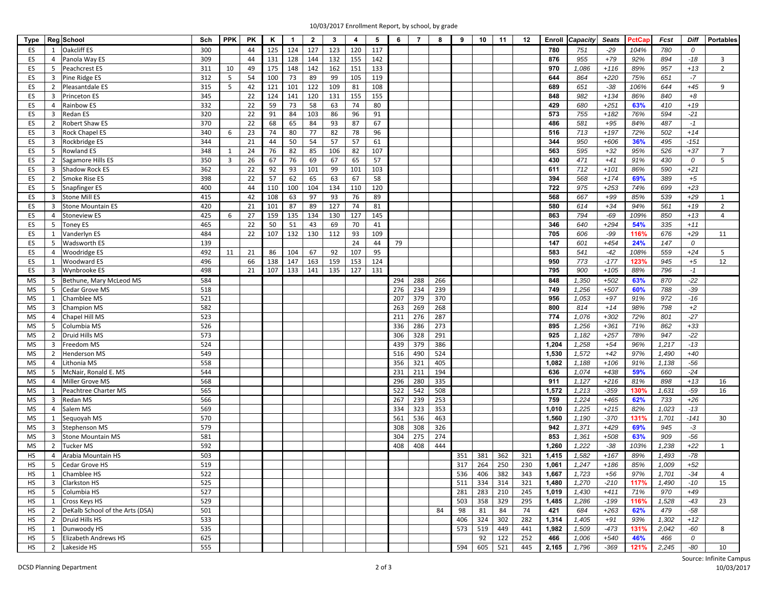| 10/03/2017 Enrollment Report, by school, by grade |  |  |
|---------------------------------------------------|--|--|
|                                                   |  |  |

| Type      |                         | Reg School                      | Sch | PPK                     | PK | Κ   | $\mathbf{1}$ | $\overline{2}$ | $\overline{\mathbf{3}}$ | $\overline{4}$ | 5   | 6   | $\overline{7}$ | 8   | 9   | 10  | 11      | 12  | Enroll | Capacity | <b>Seats</b> | PctCap | Fcst         | Diff   | <b>Portables</b> |
|-----------|-------------------------|---------------------------------|-----|-------------------------|----|-----|--------------|----------------|-------------------------|----------------|-----|-----|----------------|-----|-----|-----|---------|-----|--------|----------|--------------|--------|--------------|--------|------------------|
| ES        | 1                       | <b>Oakcliff ES</b>              | 300 |                         | 44 | 125 | 124          | 127            | 123                     | 120            | 117 |     |                |     |     |     |         |     | 780    | 751      | $-29$        | 104%   | 780          | 0      |                  |
| ES        | 4                       | Panola Way ES                   | 309 |                         | 44 | 131 | 128          | 144            | 132                     | 155            | 142 |     |                |     |     |     |         |     | 876    | 955      | $+79$        | 92%    | 894          | $-18$  | 3                |
| ES        | 5                       | Peachcrest ES                   | 311 | 10                      | 49 | 175 | 148          | 142            | 162                     | 151            | 133 |     |                |     |     |     |         |     | 970    | 1,086    | $+116$       | 89%    | 957          | $+13$  | $\overline{2}$   |
| ES        | 3                       | Pine Ridge ES                   | 312 | 5                       | 54 | 100 | 73           | 89             | 99                      | 105            | 119 |     |                |     |     |     |         |     | 644    | 864      | $+220$       | 75%    | 651          | $-7$   |                  |
| ES        | 2                       | Pleasantdale ES                 | 315 | 5                       | 42 | 121 | 101          | 122            | 109                     | 81             | 108 |     |                |     |     |     |         |     | 689    | 651      | $-38$        | 106%   | 644          | $+45$  | 9                |
| ES        | 3                       |                                 | 345 |                         | 22 | 124 | 141          | 120            | 131                     | 155            | 155 |     |                |     |     |     |         |     | 848    | 982      | $+134$       | 86%    | 840          | $+8$   |                  |
|           |                         | Princeton ES                    |     |                         |    |     |              |                |                         |                |     |     |                |     |     |     |         |     |        |          |              |        |              |        |                  |
| ES        | $\overline{4}$          | Rainbow ES                      | 332 |                         | 22 | 59  | 73           | 58             | 63                      | 74             | 80  |     |                |     |     |     |         |     | 429    | 680      | $+251$       | 63%    | 410          | $+19$  |                  |
| ES        | 3                       | Redan ES                        | 320 |                         | 22 | 91  | 84           | 103            | 86                      | 96             | 91  |     |                |     |     |     |         |     | 573    | 755      | $+182$       | 76%    | 594          | $-21$  |                  |
| ES        | $\overline{2}$          | Robert Shaw ES                  | 370 |                         | 22 | 68  | 65           | 84             | 93                      | 87             | 67  |     |                |     |     |     |         |     | 486    | 581      | $+95$        | 84%    | 487          | $-1$   |                  |
| ES        | 3                       | <b>Rock Chapel ES</b>           | 340 | 6                       | 23 | 74  | 80           | 77             | 82                      | 78             | 96  |     |                |     |     |     |         |     | 516    | 713      | $+197$       | 72%    | 502          | $+14$  |                  |
| ES        | 3                       | Rockbridge ES                   | 344 |                         | 21 | 44  | 50           | 54             | 57                      | 57             | 61  |     |                |     |     |     |         |     | 344    | 950      | $+606$       | 36%    | 495          | $-151$ |                  |
| ES        | 5                       | <b>Rowland ES</b>               | 348 | 1                       | 24 | 76  | 82           | 85             | 106                     | 82             | 107 |     |                |     |     |     |         |     | 563    | 595      | $+32$        | 95%    | 526          | $+37$  | $\overline{7}$   |
| ES        | $\overline{2}$          | Sagamore Hills ES               | 350 | $\overline{\mathbf{3}}$ | 26 | 67  | 76           | 69             | 67                      | 65             | 57  |     |                |     |     |     |         |     | 430    | 471      | $+41$        | 91%    | 430          | 0      | 5                |
| ES        | 3                       | <b>Shadow Rock ES</b>           | 362 |                         | 22 | 92  | 93           | 101            | 99                      | 101            | 103 |     |                |     |     |     |         |     | 611    | 712      | $+101$       | 86%    | 590          | $+21$  |                  |
| ES        | 2                       | Smoke Rise ES                   | 398 |                         | 22 | 57  | 62           | 65             | 63                      | 67             | 58  |     |                |     |     |     |         |     | 394    | 568      | $+174$       | 69%    | 389          | $+5$   |                  |
| ES        | 5                       | <b>Snapfinger ES</b>            | 400 |                         | 44 | 110 | 100          | 104            | 134                     | 110            | 120 |     |                |     |     |     |         |     | 722    | 975      | $+253$       | 74%    | 699          | $+23$  |                  |
| ES        | 3                       | Stone Mill ES                   | 415 |                         | 42 | 108 | 63           | 97             | 93                      | 76             | 89  |     |                |     |     |     |         |     | 568    | 667      | $+99$        | 85%    | 539          | $+29$  | 1                |
| ES        | 3                       | <b>Stone Mountain ES</b>        | 420 |                         | 21 | 101 | 87           | 89             | 127                     | 74             | 81  |     |                |     |     |     |         |     | 580    | 614      | $+34$        | 94%    | 561          | $+19$  | $\overline{2}$   |
| ES        | $\overline{4}$          | <b>Stoneview ES</b>             | 425 | 6                       | 27 | 159 | 135          | 134            | 130                     | 127            | 145 |     |                |     |     |     |         |     | 863    | 794      | $-69$        | 109%   | 850          | $+13$  | $\overline{4}$   |
| ES        | 5                       | <b>Toney ES</b>                 | 465 |                         | 22 | 50  | 51           | 43             | 69                      | 70             | 41  |     |                |     |     |     |         |     | 346    | 640      | $+294$       | 54%    | 335          | $+11$  |                  |
| ES        | $\mathbf{1}$            | Vanderlyn ES                    | 484 |                         | 22 | 107 | 132          | 130            | 112                     | 93             | 109 |     |                |     |     |     |         |     | 705    | 606      | $-99$        | 116%   | 676          | $+29$  | 11               |
| ES        | 5                       | Wadsworth ES                    | 139 |                         |    |     |              |                |                         | 24             | 44  | 79  |                |     |     |     |         |     | 147    | 601      | $+454$       | 24%    | 147          | 0      |                  |
| ES        | 4                       | Woodridge ES                    | 492 | 11                      | 21 | 86  | 104          | 67             | 92                      | 107            | 95  |     |                |     |     |     |         |     | 583    | 541      | $-42$        | 108%   | 559          | $+24$  | 5                |
| ES        | 1                       | Woodward ES                     | 496 |                         | 66 | 138 | 147          | 163            | 159                     | 153            | 124 |     |                |     |     |     |         |     | 950    | 773      | $-177$       | 123%   | 945          | $+5$   | 12               |
| ES        | 3                       | Wynbrooke ES                    | 498 |                         | 21 | 107 | 133          | 141            | 135                     | 127            | 131 |     |                |     |     |     |         |     | 795    | 900      | $+105$       | 88%    | 796          | $-1$   |                  |
| MS        | 5                       | Bethune, Mary McLeod MS         | 584 |                         |    |     |              |                |                         |                |     | 294 | 288            | 266 |     |     |         |     | 848    | 1,350    | $+502$       | 63%    | 870          | $-22$  |                  |
| MS        | 5                       | Cedar Grove MS                  | 518 |                         |    |     |              |                |                         |                |     | 276 | 234            | 239 |     |     |         |     | 749    | 1,256    | $+507$       | 60%    | 788          | $-39$  |                  |
| MS        | 1                       | Chamblee MS                     | 521 |                         |    |     |              |                |                         |                |     | 207 | 379            | 370 |     |     |         |     | 956    | 1,053    | $+97$        | 91%    | 972          | $-16$  |                  |
| MS        | 3                       | <b>Champion MS</b>              | 582 |                         |    |     |              |                |                         |                |     | 263 | 269            | 268 |     |     |         |     | 800    | 814      | $+14$        | 98%    | 798          | $+2$   |                  |
| MS        | 4                       | Chapel Hill MS                  | 523 |                         |    |     |              |                |                         |                |     | 211 | 276            | 287 |     |     |         |     | 774    | 1,076    | $+302$       | 72%    | 801          | $-27$  |                  |
| MS        | 5                       | Columbia MS                     | 526 |                         |    |     |              |                |                         |                |     | 336 | 286            | 273 |     |     |         |     | 895    | 1,256    | $+361$       | 71%    | 862          | $+33$  |                  |
| MS        | 2                       | Druid Hills MS                  | 573 |                         |    |     |              |                |                         |                |     | 306 | 328            | 291 |     |     |         |     | 925    | 1,182    | $+257$       | 78%    | 947          | $-22$  |                  |
| MS        | 3                       | Freedom MS                      | 524 |                         |    |     |              |                |                         |                |     | 439 | 379            | 386 |     |     |         |     | 1,204  | 1,258    | $+54$        | 96%    | 1,217        | $-13$  |                  |
| MS        | $\overline{2}$          | Henderson MS                    | 549 |                         |    |     |              |                |                         |                |     | 516 | 490            | 524 |     |     |         |     | 1,530  | 1,572    | $+42$        | 97%    | 1,490        | $+40$  |                  |
| MS        | 4                       | .ithonia MS                     | 558 |                         |    |     |              |                |                         |                |     | 356 | 321            | 405 |     |     |         |     | 1,082  | 1,188    | $+106$       | 91%    | 1,138        | $-56$  |                  |
| MS        | 5                       | McNair, Ronald E. MS            | 544 |                         |    |     |              |                |                         |                |     | 231 | 211            | 194 |     |     |         |     | 636    | 1,074    | $+438$       | 59%    | 660          | $-24$  |                  |
| <b>MS</b> | 4                       | Miller Grove MS                 | 568 |                         |    |     |              |                |                         |                |     | 296 | 280            | 335 |     |     |         |     | 911    | 1,127    | $+216$       | 81%    | 898          | $+13$  | 16               |
|           |                         |                                 |     |                         |    |     |              |                |                         |                |     |     |                |     |     |     |         |     | 1,572  |          |              |        |              |        |                  |
| MS        | 1                       | Peachtree Charter MS            | 565 |                         |    |     |              |                |                         |                |     | 522 | 542            | 508 |     |     |         |     |        | 1,213    | $-359$       | 130%   | 1,631<br>733 | $-59$  | 16               |
| MS        | 3                       | Redan MS                        | 566 |                         |    |     |              |                |                         |                |     | 267 | 239            | 253 |     |     |         |     | 759    | 1,224    | $+465$       | 62%    |              | $+26$  |                  |
| MS        | $\overline{4}$          | Salem MS                        | 569 |                         |    |     |              |                |                         |                |     | 334 | 323            | 353 |     |     |         |     | 1,010  | 1,225    | $+215$       | 82%    | 1,023        | $-13$  |                  |
| MS        | 1                       | Sequoyah MS                     | 570 |                         |    |     |              |                |                         |                |     | 561 | 536            | 463 |     |     |         |     | 1,560  | 1,190    | $-370$       | 131%   | 1,701        | $-141$ | 30               |
| MS        | 3                       | Stephenson MS                   | 579 |                         |    |     |              |                |                         |                |     | 308 | 308            | 326 |     |     |         |     | 942    | 1,371    | $+429$       | 69%    | 945          | $-3$   |                  |
| MS        | 3                       | <b>Stone Mountain MS</b>        | 581 |                         |    |     |              |                |                         |                |     | 304 | 275            | 274 |     |     |         |     | 853    | 1,361    | $+508$       | 63%    | 909          | $-56$  |                  |
| MS        | $\overline{2}$          | <b>Tucker MS</b>                | 592 |                         |    |     |              |                |                         |                |     | 408 | 408            | 444 |     |     |         |     | 1,260  | 1,222    | $-38$        | 103%   | 1,238        | $+22$  | $\mathbf{1}$     |
| <b>HS</b> | 4                       | Arabia Mountain HS              | 503 |                         |    |     |              |                |                         |                |     |     |                |     | 351 | 381 | 362     | 321 | 1,415  | 1,582    | $+167$       | 89%    | 1,493        | $-78$  |                  |
| <b>HS</b> | 5                       | Cedar Grove HS                  | 519 |                         |    |     |              |                |                         |                |     |     |                |     | 317 | 264 | 250     | 230 | 1,061  | 1,247    | $+186$       | 85%    | 1,009        | $+52$  |                  |
| HS        | 1                       | Chamblee HS                     | 522 |                         |    |     |              |                |                         |                |     |     |                |     | 536 | 406 | 382     | 343 | 1,667  | 1,723    | +56          | 97%    | 1,701        | $-34$  | 4                |
| <b>HS</b> | $\overline{\mathbf{3}}$ | Clarkston HS                    | 525 |                         |    |     |              |                |                         |                |     |     |                |     | 511 | 334 | 314     | 321 | 1,480  | 1,270    | $-210$       | 117%   | 1,490        | $-10$  | 15               |
| <b>HS</b> | -5                      | Columbia HS                     | 527 |                         |    |     |              |                |                         |                |     |     |                |     | 281 | 283 | 210     | 245 | 1,019  | 1,430    | $+411$       | 71%    | 970          | $+49$  |                  |
| HS        | 1                       | Cross Keys HS                   | 529 |                         |    |     |              |                |                         |                |     |     |                |     | 503 | 358 | 329     | 295 | 1,485  | 1,286    | $-199$       | 116%   | 1,528        | $-43$  | 23               |
| <b>HS</b> | 2                       | DeKalb School of the Arts (DSA) | 501 |                         |    |     |              |                |                         |                |     |     |                | 84  | 98  | 81  | 84      | 74  | 421    | 684      | $+263$       | 62%    | 479          | $-58$  |                  |
| <b>HS</b> | 2                       | Druid Hills HS                  | 533 |                         |    |     |              |                |                         |                |     |     |                |     | 406 | 324 | 302     | 282 | 1,314  | 1,405    | $+91$        | 93%    | 1,302        | $+12$  |                  |
| HS        | 1                       | Dunwoody HS                     | 535 |                         |    |     |              |                |                         |                |     |     |                |     | 573 | 519 | 449     | 441 | 1,982  | 1,509    | $-473$       | 131%   | 2,042        | $-60$  | 8                |
| <b>HS</b> | 5                       | Elizabeth Andrews HS            | 625 |                         |    |     |              |                |                         |                |     |     |                |     |     | 92  | 122     | 252 | 466    | 1,006    | $+540$       | 46%    | 466          | 0      |                  |
| HS        | $\overline{2}$          | Lakeside HS                     | 555 |                         |    |     |              |                |                         |                |     |     |                |     | 594 |     | 605 521 | 445 | 2,165  | 1,796    | $-369$       | 121%   | 2,245        | $-80$  | 10               |